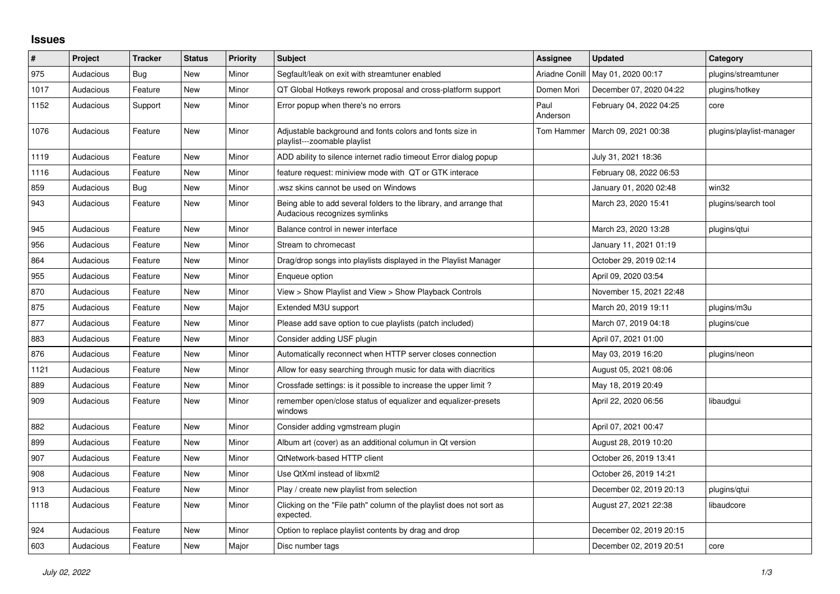## **Issues**

| $\#$ | Project   | <b>Tracker</b> | <b>Status</b> | <b>Priority</b> | Subject                                                                                             | <b>Assignee</b>  | <b>Updated</b>          | Category                 |
|------|-----------|----------------|---------------|-----------------|-----------------------------------------------------------------------------------------------------|------------------|-------------------------|--------------------------|
| 975  | Audacious | Bug            | New           | Minor           | Segfault/leak on exit with streamtuner enabled                                                      | Ariadne Conill   | May 01, 2020 00:17      | plugins/streamtuner      |
| 1017 | Audacious | Feature        | New           | Minor           | QT Global Hotkeys rework proposal and cross-platform support                                        | Domen Mori       | December 07, 2020 04:22 | plugins/hotkey           |
| 1152 | Audacious | Support        | <b>New</b>    | Minor           | Error popup when there's no errors                                                                  | Paul<br>Anderson | February 04, 2022 04:25 | core                     |
| 1076 | Audacious | Feature        | New           | Minor           | Adjustable background and fonts colors and fonts size in<br>playlist---zoomable playlist            | Tom Hammer       | March 09, 2021 00:38    | plugins/playlist-manager |
| 1119 | Audacious | Feature        | New           | Minor           | ADD ability to silence internet radio timeout Error dialog popup                                    |                  | July 31, 2021 18:36     |                          |
| 1116 | Audacious | Feature        | <b>New</b>    | Minor           | feature request: miniview mode with QT or GTK interace                                              |                  | February 08, 2022 06:53 |                          |
| 859  | Audacious | <b>Bug</b>     | New           | Minor           | wsz skins cannot be used on Windows                                                                 |                  | January 01, 2020 02:48  | win32                    |
| 943  | Audacious | Feature        | New           | Minor           | Being able to add several folders to the library, and arrange that<br>Audacious recognizes symlinks |                  | March 23, 2020 15:41    | plugins/search tool      |
| 945  | Audacious | Feature        | New           | Minor           | Balance control in newer interface                                                                  |                  | March 23, 2020 13:28    | plugins/qtui             |
| 956  | Audacious | Feature        | <b>New</b>    | Minor           | Stream to chromecast                                                                                |                  | January 11, 2021 01:19  |                          |
| 864  | Audacious | Feature        | New           | Minor           | Drag/drop songs into playlists displayed in the Playlist Manager                                    |                  | October 29, 2019 02:14  |                          |
| 955  | Audacious | Feature        | New           | Minor           | Enqueue option                                                                                      |                  | April 09, 2020 03:54    |                          |
| 870  | Audacious | Feature        | <b>New</b>    | Minor           | View > Show Playlist and View > Show Playback Controls                                              |                  | November 15, 2021 22:48 |                          |
| 875  | Audacious | Feature        | New           | Major           | Extended M3U support                                                                                |                  | March 20, 2019 19:11    | plugins/m3u              |
| 877  | Audacious | Feature        | New           | Minor           | Please add save option to cue playlists (patch included)                                            |                  | March 07, 2019 04:18    | plugins/cue              |
| 883  | Audacious | Feature        | New           | Minor           | Consider adding USF plugin                                                                          |                  | April 07, 2021 01:00    |                          |
| 876  | Audacious | Feature        | New           | Minor           | Automatically reconnect when HTTP server closes connection                                          |                  | May 03, 2019 16:20      | plugins/neon             |
| 1121 | Audacious | Feature        | New           | Minor           | Allow for easy searching through music for data with diacritics                                     |                  | August 05, 2021 08:06   |                          |
| 889  | Audacious | Feature        | <b>New</b>    | Minor           | Crossfade settings: is it possible to increase the upper limit?                                     |                  | May 18, 2019 20:49      |                          |
| 909  | Audacious | Feature        | New           | Minor           | remember open/close status of equalizer and equalizer-presets<br>windows                            |                  | April 22, 2020 06:56    | libaudgui                |
| 882  | Audacious | Feature        | <b>New</b>    | Minor           | Consider adding vgmstream plugin                                                                    |                  | April 07, 2021 00:47    |                          |
| 899  | Audacious | Feature        | New           | Minor           | Album art (cover) as an additional columun in Qt version                                            |                  | August 28, 2019 10:20   |                          |
| 907  | Audacious | Feature        | New           | Minor           | QtNetwork-based HTTP client                                                                         |                  | October 26, 2019 13:41  |                          |
| 908  | Audacious | Feature        | New           | Minor           | Use QtXml instead of libxml2                                                                        |                  | October 26, 2019 14:21  |                          |
| 913  | Audacious | Feature        | <b>New</b>    | Minor           | Play / create new playlist from selection                                                           |                  | December 02, 2019 20:13 | plugins/gtui             |
| 1118 | Audacious | Feature        | New           | Minor           | Clicking on the "File path" column of the playlist does not sort as<br>expected.                    |                  | August 27, 2021 22:38   | libaudcore               |
| 924  | Audacious | Feature        | New           | Minor           | Option to replace playlist contents by drag and drop                                                |                  | December 02, 2019 20:15 |                          |
| 603  | Audacious | Feature        | <b>New</b>    | Major           | Disc number tags                                                                                    |                  | December 02, 2019 20:51 | core                     |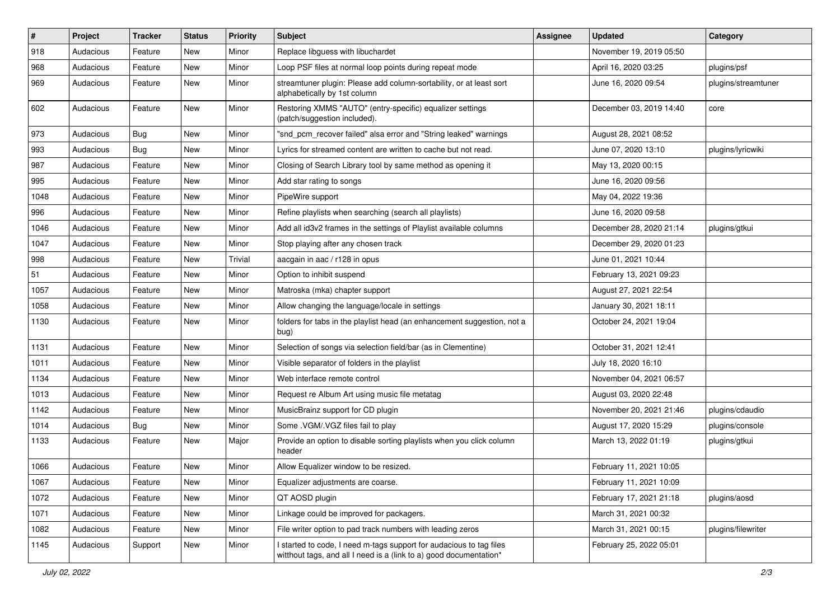| $\vert$ # | Project   | <b>Tracker</b> | <b>Status</b> | <b>Priority</b> | <b>Subject</b>                                                                                                                            | <b>Assignee</b> | <b>Updated</b>          | Category            |
|-----------|-----------|----------------|---------------|-----------------|-------------------------------------------------------------------------------------------------------------------------------------------|-----------------|-------------------------|---------------------|
| 918       | Audacious | Feature        | New           | Minor           | Replace libguess with libuchardet                                                                                                         |                 | November 19, 2019 05:50 |                     |
| 968       | Audacious | Feature        | <b>New</b>    | Minor           | Loop PSF files at normal loop points during repeat mode                                                                                   |                 | April 16, 2020 03:25    | plugins/psf         |
| 969       | Audacious | Feature        | New           | Minor           | streamtuner plugin: Please add column-sortability, or at least sort<br>alphabetically by 1st column                                       |                 | June 16, 2020 09:54     | plugins/streamtuner |
| 602       | Audacious | Feature        | <b>New</b>    | Minor           | Restoring XMMS "AUTO" (entry-specific) equalizer settings<br>(patch/suggestion included).                                                 |                 | December 03, 2019 14:40 | core                |
| 973       | Audacious | Bug            | New           | Minor           | "snd_pcm_recover failed" alsa error and "String leaked" warnings                                                                          |                 | August 28, 2021 08:52   |                     |
| 993       | Audacious | <b>Bug</b>     | New           | Minor           | Lyrics for streamed content are written to cache but not read.                                                                            |                 | June 07, 2020 13:10     | plugins/lyricwiki   |
| 987       | Audacious | Feature        | New           | Minor           | Closing of Search Library tool by same method as opening it                                                                               |                 | May 13, 2020 00:15      |                     |
| 995       | Audacious | Feature        | New           | Minor           | Add star rating to songs                                                                                                                  |                 | June 16, 2020 09:56     |                     |
| 1048      | Audacious | Feature        | New           | Minor           | PipeWire support                                                                                                                          |                 | May 04, 2022 19:36      |                     |
| 996       | Audacious | Feature        | New           | Minor           | Refine playlists when searching (search all playlists)                                                                                    |                 | June 16, 2020 09:58     |                     |
| 1046      | Audacious | Feature        | New           | Minor           | Add all id3v2 frames in the settings of Playlist available columns                                                                        |                 | December 28, 2020 21:14 | plugins/gtkui       |
| 1047      | Audacious | Feature        | New           | Minor           | Stop playing after any chosen track                                                                                                       |                 | December 29, 2020 01:23 |                     |
| 998       | Audacious | Feature        | <b>New</b>    | Trivial         | aacgain in aac / r128 in opus                                                                                                             |                 | June 01, 2021 10:44     |                     |
| 51        | Audacious | Feature        | New           | Minor           | Option to inhibit suspend                                                                                                                 |                 | February 13, 2021 09:23 |                     |
| 1057      | Audacious | Feature        | New           | Minor           | Matroska (mka) chapter support                                                                                                            |                 | August 27, 2021 22:54   |                     |
| 1058      | Audacious | Feature        | New           | Minor           | Allow changing the language/locale in settings                                                                                            |                 | January 30, 2021 18:11  |                     |
| 1130      | Audacious | Feature        | New           | Minor           | folders for tabs in the playlist head (an enhancement suggestion, not a<br>bug)                                                           |                 | October 24, 2021 19:04  |                     |
| 1131      | Audacious | Feature        | New           | Minor           | Selection of songs via selection field/bar (as in Clementine)                                                                             |                 | October 31, 2021 12:41  |                     |
| 1011      | Audacious | Feature        | New           | Minor           | Visible separator of folders in the playlist                                                                                              |                 | July 18, 2020 16:10     |                     |
| 1134      | Audacious | Feature        | New           | Minor           | Web interface remote control                                                                                                              |                 | November 04, 2021 06:57 |                     |
| 1013      | Audacious | Feature        | New           | Minor           | Request re Album Art using music file metatag                                                                                             |                 | August 03, 2020 22:48   |                     |
| 1142      | Audacious | Feature        | New           | Minor           | MusicBrainz support for CD plugin                                                                                                         |                 | November 20, 2021 21:46 | plugins/cdaudio     |
| 1014      | Audacious | <b>Bug</b>     | New           | Minor           | Some .VGM/.VGZ files fail to play                                                                                                         |                 | August 17, 2020 15:29   | plugins/console     |
| 1133      | Audacious | Feature        | New           | Major           | Provide an option to disable sorting playlists when you click column<br>header                                                            |                 | March 13, 2022 01:19    | plugins/gtkui       |
| 1066      | Audacious | Feature        | New           | Minor           | Allow Equalizer window to be resized.                                                                                                     |                 | February 11, 2021 10:05 |                     |
| 1067      | Audacious | Feature        | New           | Minor           | Equalizer adjustments are coarse.                                                                                                         |                 | February 11, 2021 10:09 |                     |
| 1072      | Audacious | Feature        | New           | Minor           | QT AOSD plugin                                                                                                                            |                 | February 17, 2021 21:18 | plugins/aosd        |
| 1071      | Audacious | Feature        | New           | Minor           | Linkage could be improved for packagers.                                                                                                  |                 | March 31, 2021 00:32    |                     |
| 1082      | Audacious | Feature        | New           | Minor           | File writer option to pad track numbers with leading zeros                                                                                |                 | March 31, 2021 00:15    | plugins/filewriter  |
| 1145      | Audacious | Support        | New           | Minor           | I started to code, I need m-tags support for audacious to tag files<br>witthout tags, and all I need is a (link to a) good documentation* |                 | February 25, 2022 05:01 |                     |